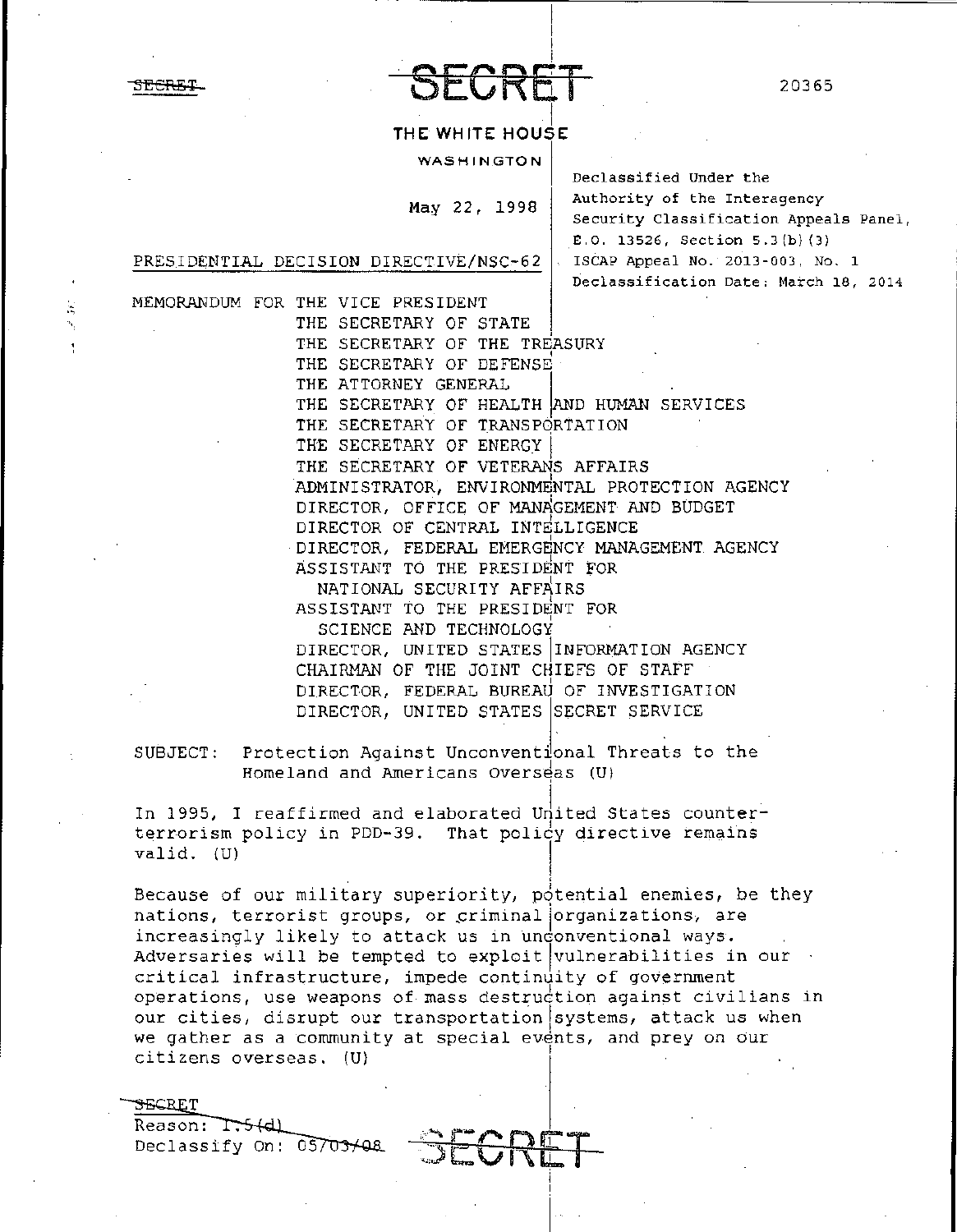$-CH$ 

# THE WHITE HOUSE

**WASHINGTON** 

May 22, 1998

Declassified Under the Authority of the Interagency Security Classification Appeals Panel, E.O. 13526, Section 5.3(b)(3) ISCAP Appeal No. 2013-003, No. 1 Declassification Date: March 18, 2014

PRESIDENTIAL DECISION DIRECTIVE/NSC-62

MEMORANDUM FOR THE VICE PRESIDENT THE SECRETARY OF STATE THE SECRETARY OF THE TREASURY THE SECRETARY OF DEFENSE THE ATTORNEY GENERAL THE SECRETARY OF HEALTH AND HUMAN SERVICES THE SECRETARY OF TRANSPORTATION THE SECRETARY OF ENERGY THE SECRETARY OF VETERANS AFFAIRS ADMINISTRATOR, ENVIRONMENTAL PROTECTION AGENCY DIRECTOR, OFFICE OF MANAGEMENT AND BUDGET DIRECTOR OF CENTRAL INTELLIGENCE DIRECTOR, FEDERAL EMERGENCY MANAGEMENT AGENCY ASSISTANT TO THE PRESIDENT FOR NATIONAL SECURITY AFFAIRS ASSISTANT TO THE PRESIDENT FOR SCIENCE AND TECHNOLOGY DIRECTOR, UNITED STATES INFORMATION AGENCY CHAIRMAN OF THE JOINT CHIEFS OF STAFF DIRECTOR, FEDERAL BUREAU OF INVESTIGATION DIRECTOR, UNITED STATES SECRET SERVICE

SUBJECT: Protection Against Unconventional Threats to the Homeland and Americans Overseas (U)

In 1995, I reaffirmed and elaborated United States counterterrorism policy in PDD-39. That policy directive remains valid. (U)

Because of our military superiority, potential enemies, be they nations, terrorist groups, or criminal organizations, are increasingly likely to attack us in undonventional ways. Adversaries will be tempted to exploit vulnerabilities in our critical infrastructure, impede continutly of government operations, use weapons of mass destruction against civilians in our cities, disrupt our transportation systems, attack us when we gather as a community at special events, and prey on our citizens overseas. (U)

<del>S</del>ECRET Reason: T.5(d) Declassify On: 05703/08

SEGRET

20365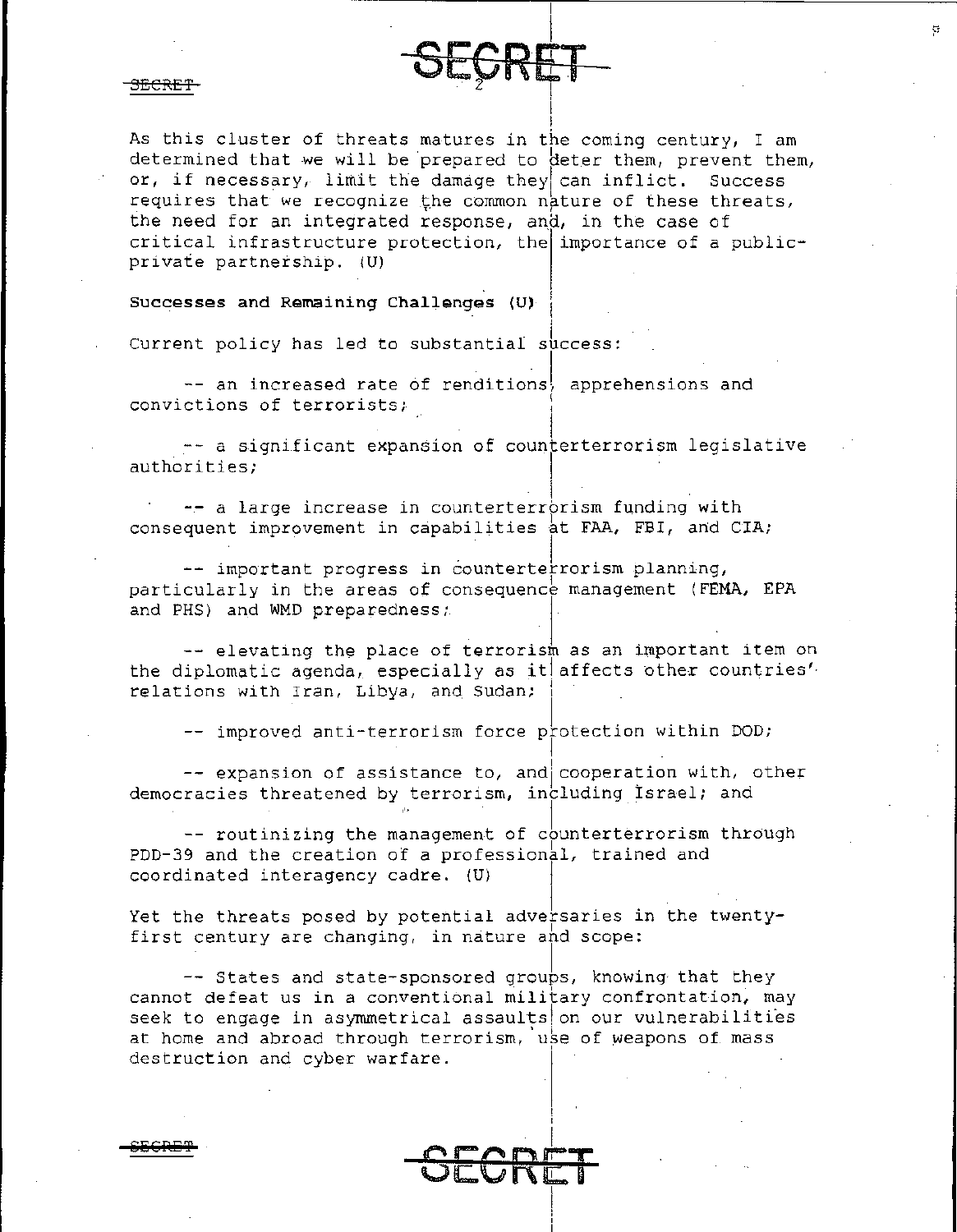As this cluster of threats matures in the coming century, I am determined that we will be prepared to deter them, prevent them, or, if necessary, limit the damage they can inflict. Success requires that we recognize the common nature of these threats, the need for an integrated response, and, in the case of critical infrastructure protection, the importance of a publicprivate partnership. (U)

**RET** 

# Successes and Remaining Challenges (U)

Current policy has led to substantial success:

-- an increased rate of renditions, apprehensions and convictions of terrorists;

-- a significant expansion of counterterrorism legislative authorities;

-- a large increase in counterterrorism funding with consequent improvement in capabilities at FAA, FBI, and CIA;

-- important progress in counterter rorism planning, particularly in the areas of consequence management (FEMA, EPA and PHS) and WMD preparedness;

-- elevating the place of terrorism as an important item on the diplomatic agenda, especially as it affects other countries'. relations with Iran, Libya, and Sudan;

-- improved anti-terrorism force protection within DOD;

-- expansion of assistance to, and cooperation with, other democracies threatened by terrorism, including Israel; and

-- routinizing the management of counterterrorism through PDD-39 and the creation of a professional, trained and coordinated interagency cadre. (U)

Yet the threats posed by potential adversaries in the twentyfirst century are changing, in nature and scope:

-- States and state-sponsored groups, knowing that they cannot defeat us in a conventional military confrontation, may seek to engage in asymmetrical assaults on our vulnerabilities at home and abroad through terrorism, use of weapons of mass destruction and cyber warfare.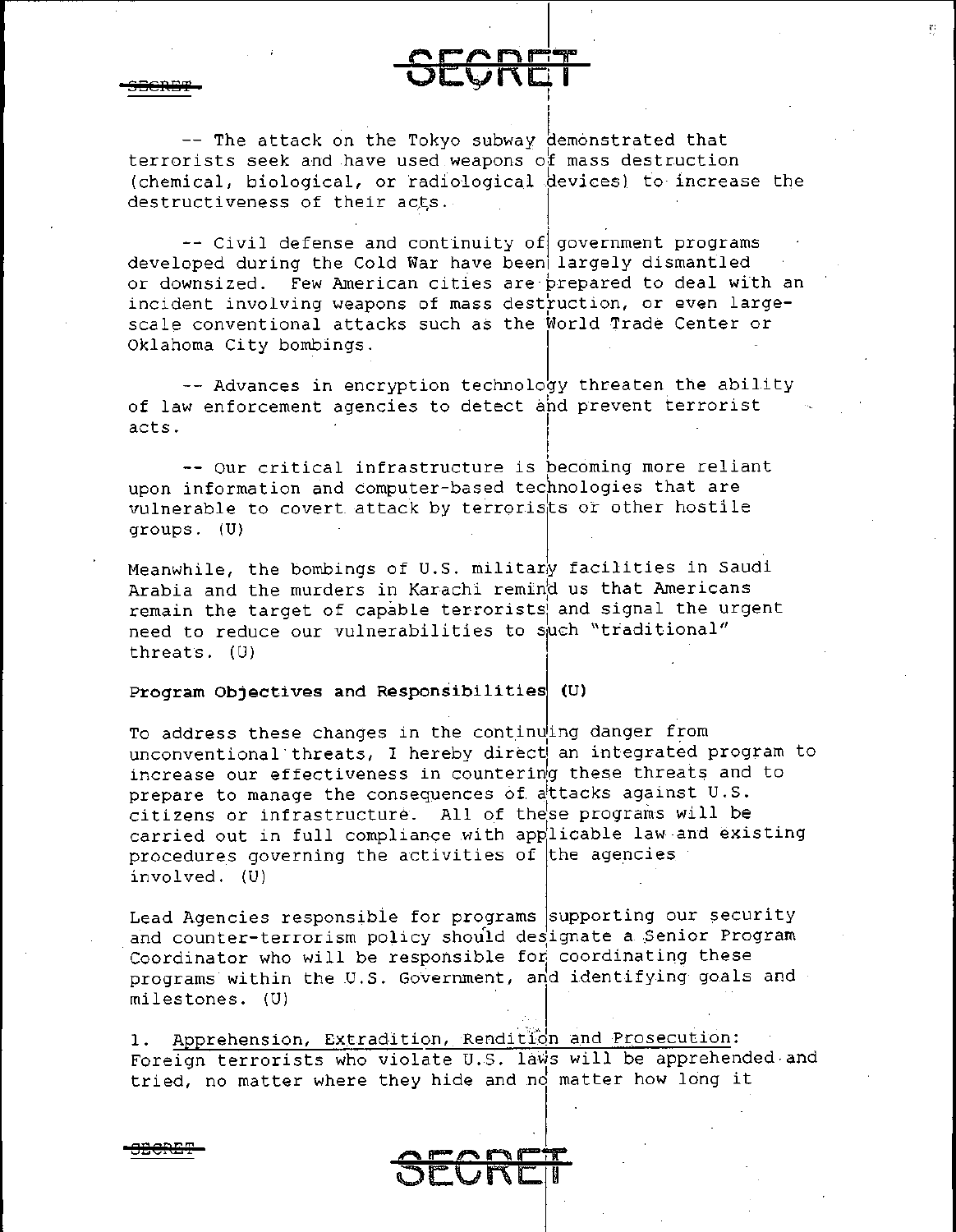i **OECRE'l?** 

**SECRE'f** 

-- The attack on the Tokyo subway demonstrated that terrorists seek and have used weapons of mass destruction (chemical, biological, or radiological devices) to increase the destructiveness of their acts.

 $c$ ran $=$ 

I

**UICTET** 

 $\sim$  Civil defense and continuity of government programs developed during the Cold War have been llargely dismantled or downsized. Few American cities are·prepared to deal with an incident involving weapons of mass destruction, or even largescale conventional attacks such as the World Trade Center or Oklahoma City bombings.

-- Advances in encryption technology threaten the ability of law enforcement agencies to detect and prevent terrorist <sup>I</sup>acts. I

-- Our critical infrastructure is pecoming more reliant upon information and computer-based technologies that are vulnerable to covert attack by terrorists or other hostile groups. (U)

Meanwhile, the bombings of U.S. military facilities in Saudi Arabia and the murders in Karachi remind us that Americans remain the target of capable terrorists and signal the urgent need to reduce our vulnerabilities to such "traditional" 1 threats. (U)

### **Program Objectives and Responsibilities (U)**

To address these changes in the continuing danger from unconventional threats, I hereby direct an integrated program to increase our effectiveness in countering these threats and to prepare to manage the consequences of attacks against U.S. citizens or infrastructure. All of these programs will be carried out in full compliance with app 1 licable law and existing procedures governing the activities of the agencies involved. (U)

Lead Agencies responsible for programs supporting our security and counter-terrorism policy should designate a Senior Program Coordinator who will be responsible for coordinating these programs within the U.S. Government, and identifying goals and milestones. (U)

1. Apprehension, Extradition, Rendition and Prosecution: Foreign terrorists who violate U.S. laws will be apprehended and tried, no matter where they hide and no matter how long it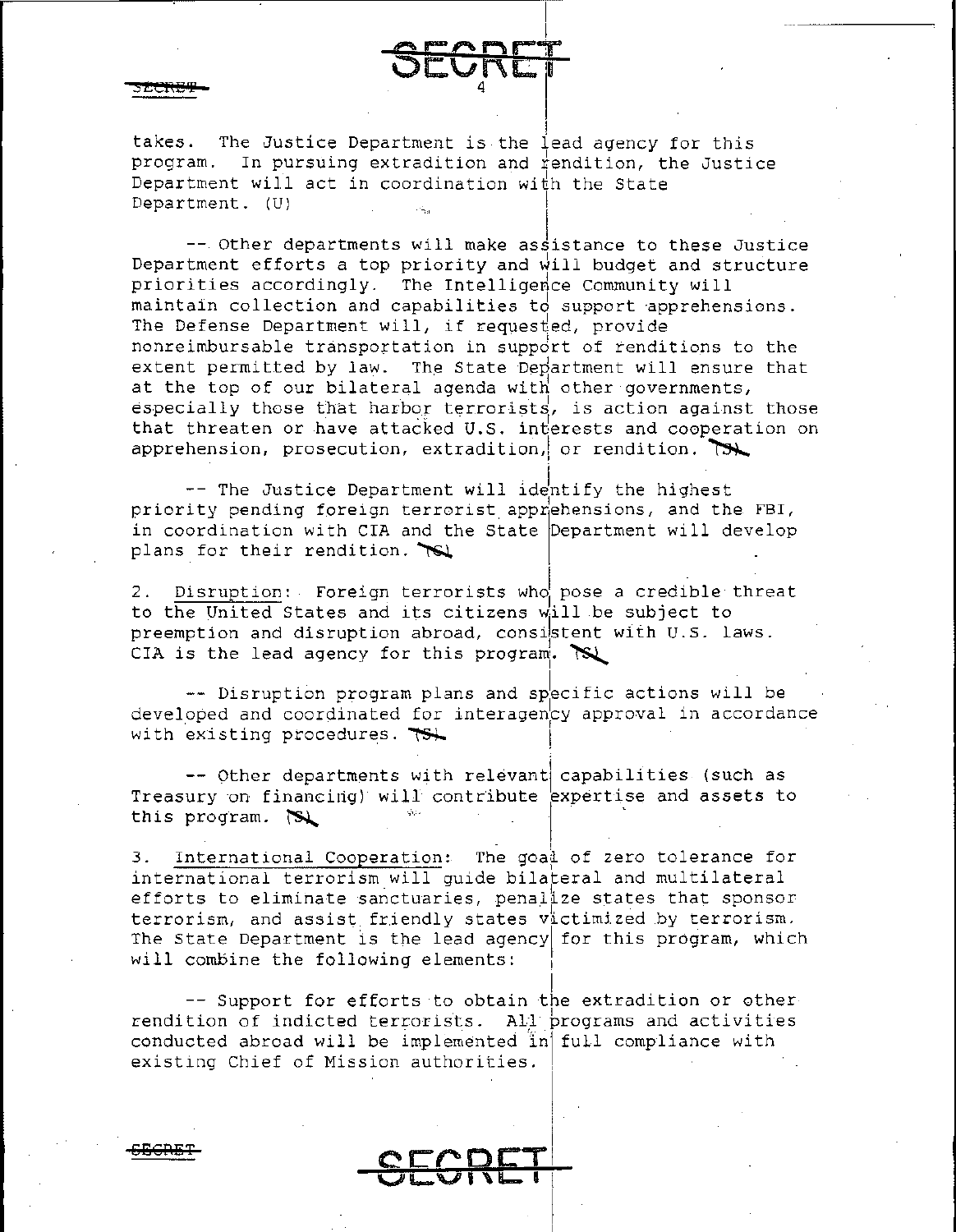takes. The Justice Department is the lead agency for this program. In pursuing extradition and  $\sharp$ endition, the Justice Department will act in coordination with the State Department. (U)

 $--$  Other departments will make assistance to these Justice Department efforts a top priority and will budget and structure priorities accordingly. The Intelligence Community will maintain collection and capabilities to support apprehensions. The Defense Department will, if requested, provide nonreimbursable transportation in suppdrt of renditions to the extent permitted by law. The State Department will ensure that at the top of our bilateral agenda with other governments, especially those that harbor terrorists, is action against those that threaten or have attacked U.S. interests and cooperation on<br>apprehension, prosecution, extradition, or rendition. apprehension, prosecution, extradition, or rendition. I

 $-$  The Justice Department will identify the highest priority pending foreign terrorist apprehensions, and the FBI, in coordination with CIA and the State Department will develop plans for their rendition.  $\mathbb{R}$ 

2. Disruption: Foreign terrorists who pose a credible threat to the United States and its citizens will be subject to preemption and disruption abroad, consistent with U.S. laws. CIA is the lead agency for this program.  $\aleph$ 

-- Disruption program plans and specific actions will be developed and coordinated for interagency approval in accordance with existing procedures.  $\overline{15}$ 

-- Other departments with relevant capabilities (such as Treasury on financing) will contribute expertise and assets to this program.  $\mathbb{S}$ 

3. International Cooperation: The goad of zero tolerance for international terrorism will guide bilateral and multilateral efforts to eliminate sanctuaries, penalize states that sponsor terrorism, and assist friendly states  $v^{\dagger}_\mu$ ctimized by terrorism. The State Department is the lead agency for this program, which will combine the following elements:

-- Support for efforts to obtain the extradition or other rendition of indicted terrorists. All programs and activities conducted abroad will be implemented inj full compliance with existing Chief of Mission authorities.

EFGRET CECDET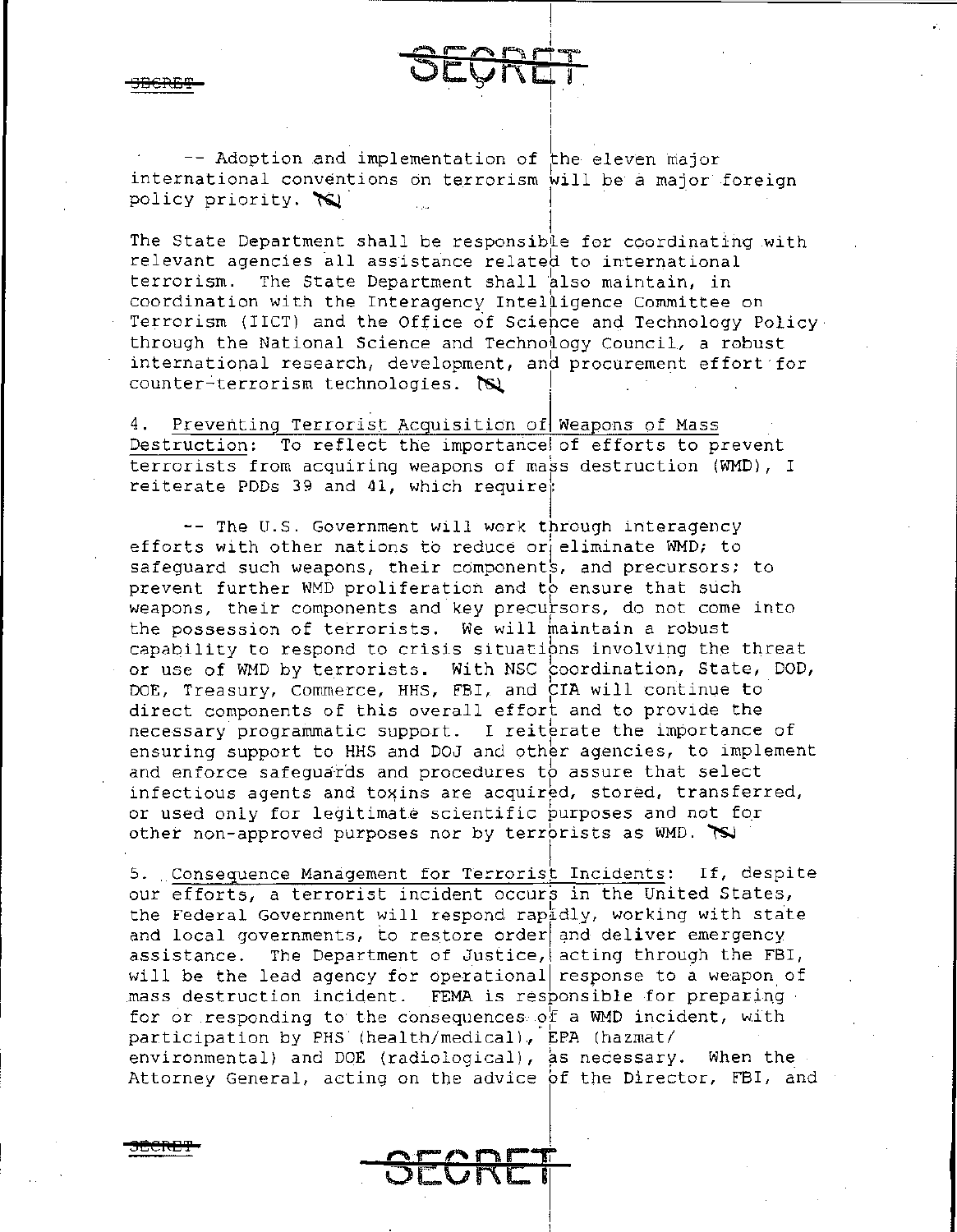-- Adoption and implementation of the eleven major international conventions on terrorism will be a major foreign policy priority.  $\infty$ 

<u>SRET</u>

The State Department shall be responsible for coordinating with relevant agencies all assistance related to international terrorism. The State Department shall also maintain, in coordination with the Interagency Intelligence Committee on Terrorism (IICT) and the Office of Science and Technology Policy. through the National Science and Technology Council, a robust international research, development, and procurement effort for counter-terrorism technologies.

Preventing Terrorist Acquisition of Weapons of Mass Destruction: To reflect the importance of efforts to prevent terrorists from acquiring weapons of mass destruction (WMD), I reiterate PDDs 39 and 41, which require;

-- The U.S. Government will work through interagency efforts with other nations to reduce or eliminate WMD; to safeguard such weapons, their components, and precursors; to prevent further WMD proliferation and to ensure that such weapons, their components and key precursors, do not come into the possession of terrorists. We will maintain a robust capability to respond to crisis situations involving the threat or use of WMD by terrorists. With NSC coordination, State, DOD, DOE, Treasury, Commerce, HHS, FBI, and CIA will continue to direct components of this overall effort and to provide the necessary programmatic support. I reiterate the importance of ensuring support to HHS and DOJ and other agencies, to implement and enforce safequards and procedures to assure that select infectious agents and toxins are acquired, stored, transferred, or used only for legitimate scientific purposes and not for other non-approved purposes nor by terrorists as WMD. TS

5. Consequence Management for Terrorist Incidents: If, despite our efforts, a terrorist incident occurs in the United States, the Federal Government will respond rapidly, working with state and local governments, to restore order and deliver emergency assistance. The Department of Justice, acting through the FBI, will be the lead agency for operational response to a weapon of mass destruction incident. FEMA is responsible for preparing for or responding to the consequences of a WMD incident, with participation by PHS (health/medical), EPA (hazmat/ environmental) and DOE (radiological), as necessary. When the Attorney General, acting on the advice of the Director, FBI, and

FCRE I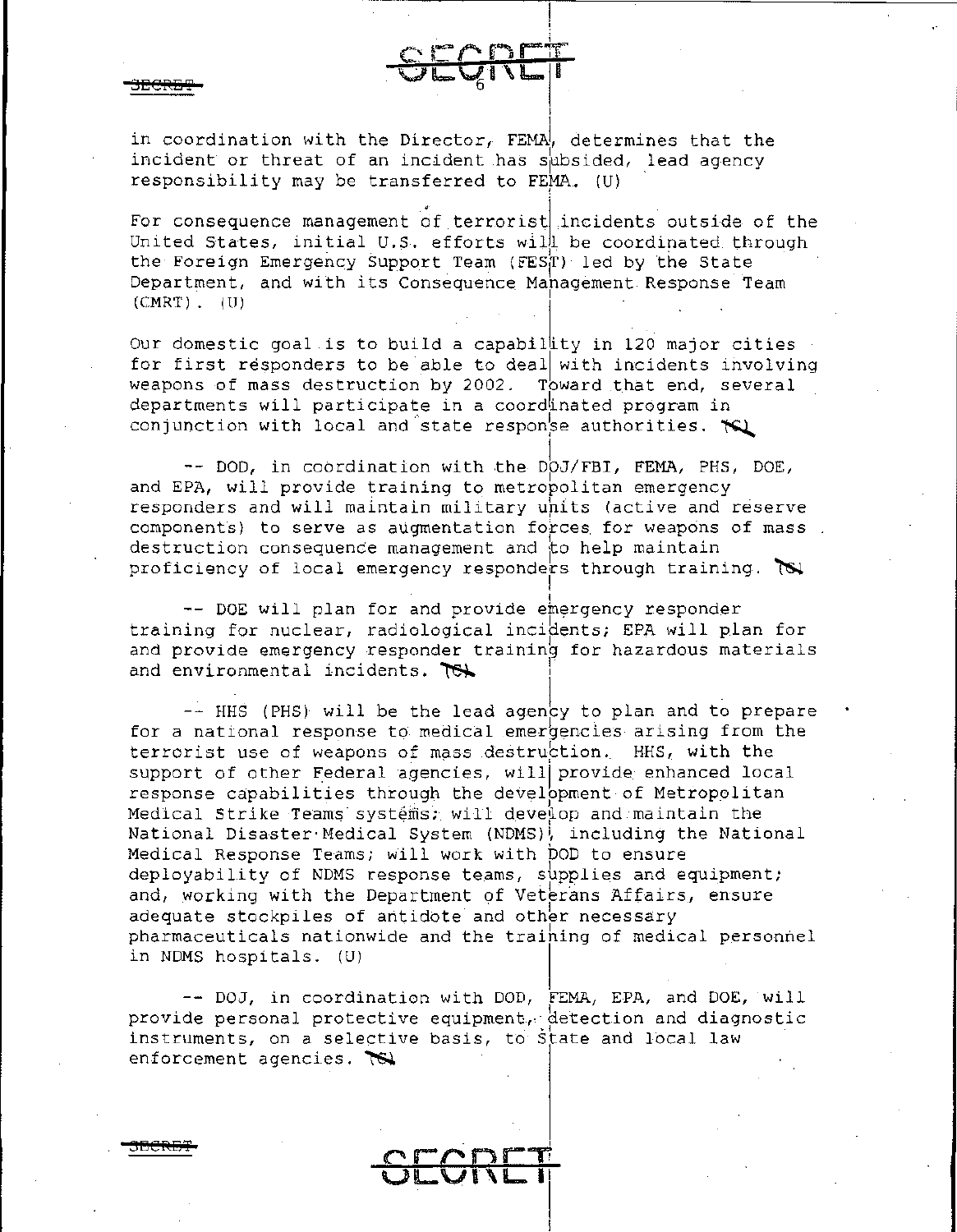in coordination with the Director, FEMA, determines that the incident or threat of an incident has subsided, lead agency responsibility may be transferred to FEMA. (U)

For consequence management of terrorist incidents outside of the United States, initial U.S. efforts will be coordinated through the Foreign Emergency Support Team (FEST) led by the State Department, and with its Consequence Mahagement Response Team  $(CMRT)$ ,  $(U)$ 

Our domestic goal is to build a capability in 120 major cities for first responders to be able to deal with incidents involving weapons of mass destruction by 2002. Toward that end, several departments will participate in a coordinated program in conjunction with local and state response authorities. The

-- DOD, in coordination with the DOJ/FBI, FEMA, PHS, DOE, and EPA, will provide training to metropolitan emergency responders and will maintain military units (active and reserve components) to serve as augmentation forces for weapons of mass. destruction consequence management and to help maintain proficiency of local emergency responders through training. To

-- DOE will plan for and provide emergency responder training for nuclear, radiological incidents; EPA will plan for and provide emergency responder training for hazardous materials and environmental incidents. Tex

-- HHS (PHS) will be the lead agency to plan and to prepare for a national response to medical emergencies arising from the terrorist use of weapons of mass destruction. HHS, with the support of other Federal agencies, will provide enhanced local response capabilities through the development of Metropolitan Medical Strike Teams systems; will develop and maintain the National Disaster Medical System (NDMS), including the National Medical Response Teams; will work with DOD to ensure deployability of NDMS response teams, supplies and equipment; and, working with the Department of Veterans Affairs, ensure adequate stockpiles of antidote and other necessary pharmaceuticals nationwide and the training of medical personnel in NDMS hospitals. (U)

-- DOJ, in coordination with DOD, FEMA, EPA, and DOE, will provide personal protective equipment, detection and diagnostic instruments, on a selective basis, to state and local law enforcement agencies.  $\overline{\mathbb{S}}$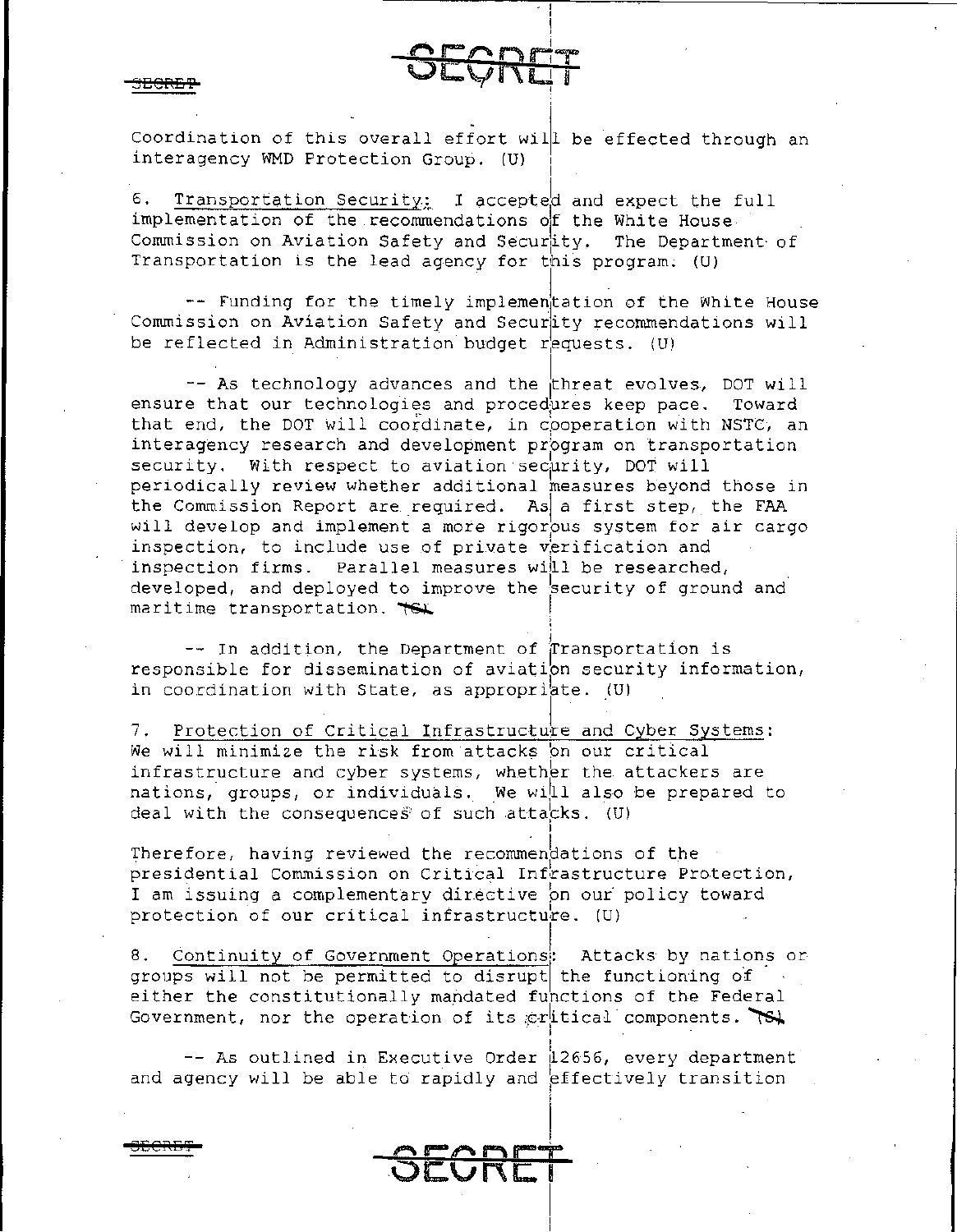Coordination of this overall effort will be effected through an interagency WMD Protection Group. (U)

б. Transportation Security: I accepted and expect the full implementation of the recommendations of the White House. Commission on Aviation Safety and Securaty. The Department of Transportation is the lead agency for this program. (U)

-- Funding for the timely implementation of the White House Commission on Aviation Safety and Security recommendations will be reflected in Administration budget requests. (U)

-- As technology advances and the threat evolves, DOT will ensure that our technologies and procedures keep pace. Toward that end, the DOT will coordinate, in cooperation with NSTC, an interagency research and development program on transportation security. With respect to aviation security, DOT will periodically review whether additional measures beyond those in the Commission Report are required. As a first step, the FAA will develop and implement a more rigorous system for air cargo inspection, to include use of private verification and inspection firms. Parallel measures will be researched, developed, and deployed to improve the security of ground and maritime transportation. TSL

-- In addition, the Department of Transportation is responsible for dissemination of aviation security information, in coordination with State, as appropriate. (U)

7. Protection of Critical Infrastructure and Cyber Systems: We will minimize the risk from attacks on our critical infrastructure and cyber systems, whether the attackers are nations, groups, or individuals. We will also be prepared to deal with the consequences of such attacks. (U)

Therefore, having reviewed the recommendations of the presidential Commission on Critical Infrastructure Protection, I am issuing a complementary directive on our policy toward protection of our critical infrastructure. (U)

8. Continuity of Government Operations: Attacks by nations or groups will not be permitted to disrupt the functioning of either the constitutionally mandated functions of the Federal Government, nor the operation of its critical components.

-- As outlined in Executive Order 12656, every department and agency will be able to rapidly and effectively transition

SECRE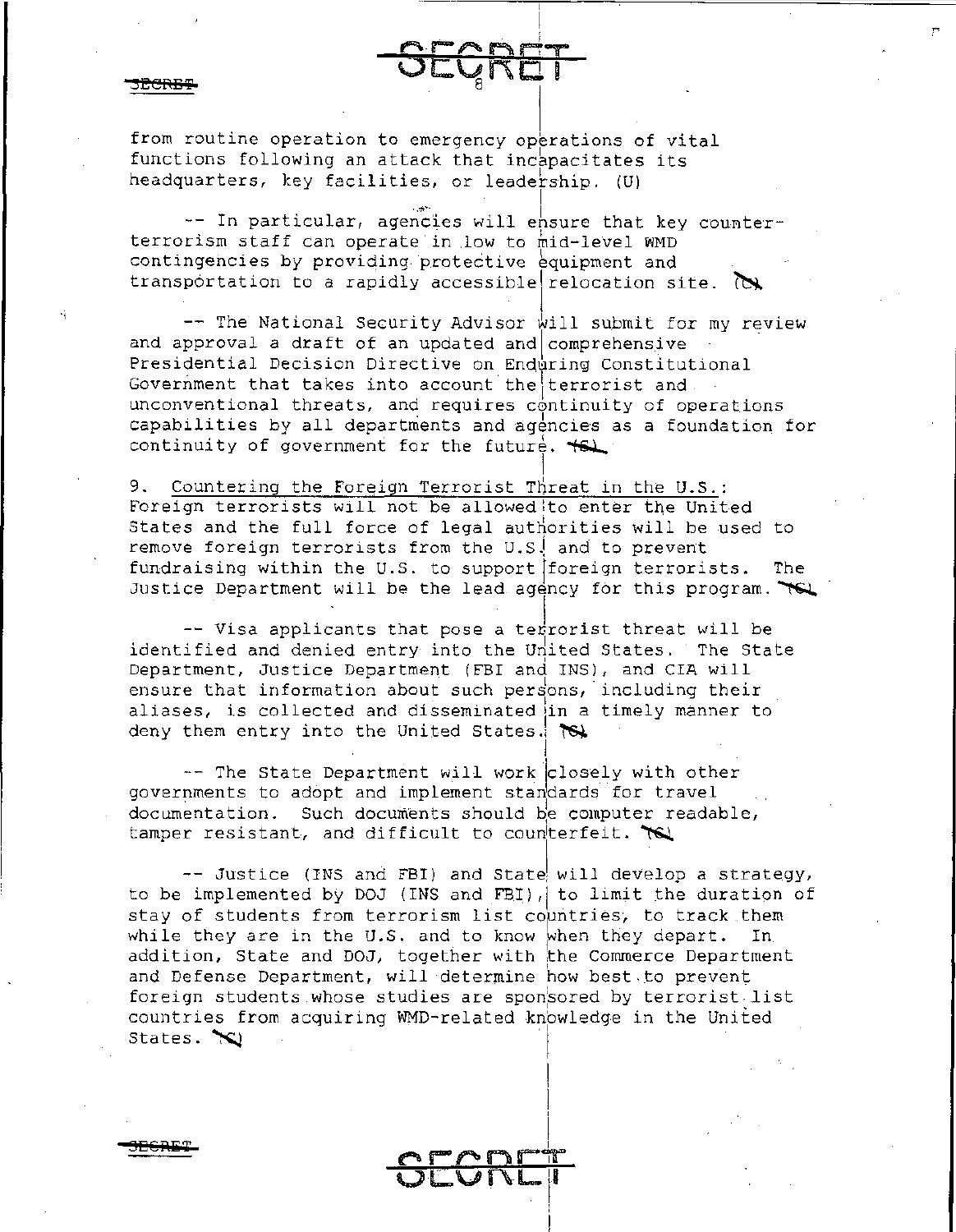**8EG'Ii1ET** 

from routine operation to emergency operations of vital functions following an attack that incapacitates its headquarters, key facilities, or leadership.  $(U)$ 

-- In particular, agencies will ensure that key counterterrorism staff can operate in .low to mid-level WMD contingencies by providing protective equipment and transportation to a rapidly accessible relocation site.  $\infty$ 

I

r

 $\overline{\phantom{a}}$ *t"'.* r-,...,\_ ~ r-:'T OCQRET

 $\frac{1}{2}$ 

 $-$  The National Security Advisor will submit for my review and approval a draft of an updated and  $comprehensive$ Presidential Decision Directive on Enduring Constitutional Government that takes into account the terrorist and . unconventional threats, and requires continuity of operations capabilities by all departments and agencies as a foundation for continuity of government for the future.  $\leftarrow$ 

I 9. Countering the Foreign Terrorist Threat in the U.S.: Foreign terrorists will not be allowed to enter the United States and the full force of legal authorities will be used to remove foreign terrorists from the U.S. and to prevent fundraising within the u.s. to support [foreign terrorists. The Justice Department will be the lead agency for this program.  $\forall Q$ 

-- Visa applicants that pose a ter rorist threat will be identified and denied entry into the United States. The State Department, Justice Department (FBI and INS), and CIA will ensure that information about such persons, including their aliases, is collected and disseminated in a timely manner to deny them entry into the United States.  $\infty$ 

-- The State Department will work closely with other governments to adopt and implement standards for travel .. documentation. Such documents should be computer readable, tamper resistant, and difficult to counterfeit.  $\mathcal{R}$ 

-- Justice (INS and FBI) and State! will develop a strategy, to be implemented by DOJ (INS and FBI), to limit the duration of stay of students from terrorism list countries, to track them while they are in the U.S. and to know when they depart. In addition, State and DOJ, together with the Commerce Department and Defense Department, will determine how best.to prevent foreign students whose studies are sponsored by terrorist list countries from acquiring WMD-related knowledge in the United States.  $\infty$ 

<u>oran - 1</u>

 $\Omega$ 

I ! l

|<br>|<br>1974

 $\mathbf i$  .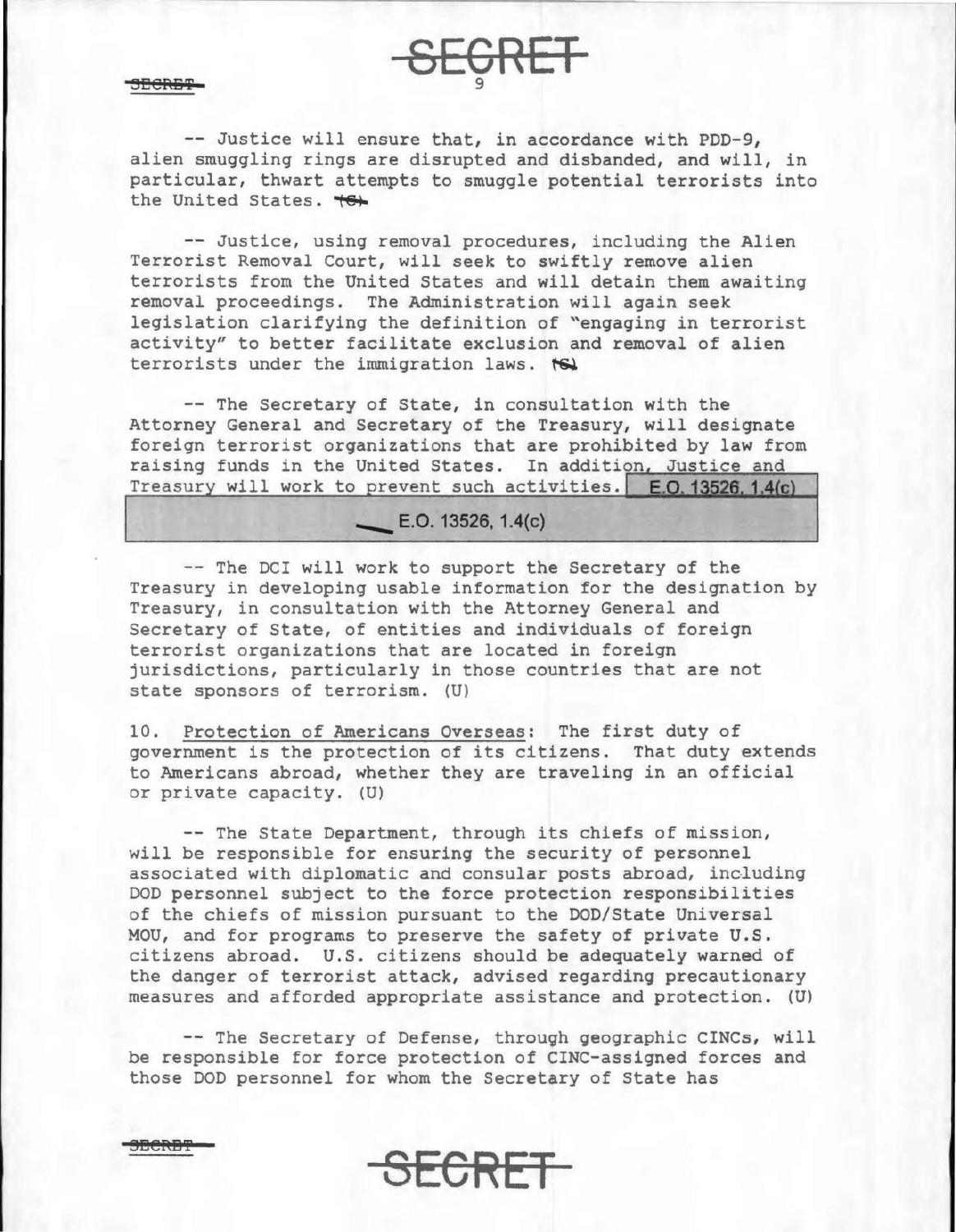BERBT 9

-- Justice will ensure that, in accordance with PDD-9, alien smuggling rings are disrupted and disbanded, and will, in particular, thwart attempts to smuggle potential terrorists into the United States.

 $GRET$ 

-- Justice, using removal procedures, including the Alien Terrorist Removal Court, will seek to swiftly remove alien terrorists from the United states and will detain them awaiting removal proceedings. The Administration will again seek legislation clarifying the definition of ~engaging in terrorist activity" to better facilitate exclusion and removal of alien terrorists under the immigration laws.  $\leftarrow$ 

-- The Secretary of State, in consultation with the Attorney General and Secretary of the Treasury, will designate foreign terrorist organizations that are prohibited by law from raising funds in the United States. In addition, Justice and Treasury will work to prevent such activities.  $E.D. 13526. 1.4(c)$ 

# $\leftarrow$  E.O. 13526, 1.4(c)

-- The DCI will work to support the Secretary of the Treasury in developing usable information for the designation by Treasury, in consultation with the Attorney General and Secretary of State, of entities and individuals of foreign terrorist organizations that are located in foreign jurisdictions, particularly in those countries that are not state sponsors of terrorism. (U)

10. Protection of Americans Overseas: The first duty of government is the protection of its citizens. That duty extends to Americans abroad, whether they are traveling in an official or private capacity. (U)

-- The State Department, through its chiefs of mission, will be responsible for ensuring the security of personnel associated with diplomatic and consular posts abroad, including DOD personnel subject to the force protection responsibilities of the chiefs of mission pursuant to the DOD/State Universal MOU, and for programs to preserve the safety of private U.S. citizens abroad. U.S. citizens should be adequately warned of the danger of terrorist attack, advised regarding precautionary measures and afforded appropriate assistance and protection. (U)

-- The Secretary of Defense, through geographic CINCs, will be responsible for force protection of CINC-assigned forces and those DOD personnel for whom the Secretary of state has

SECRET-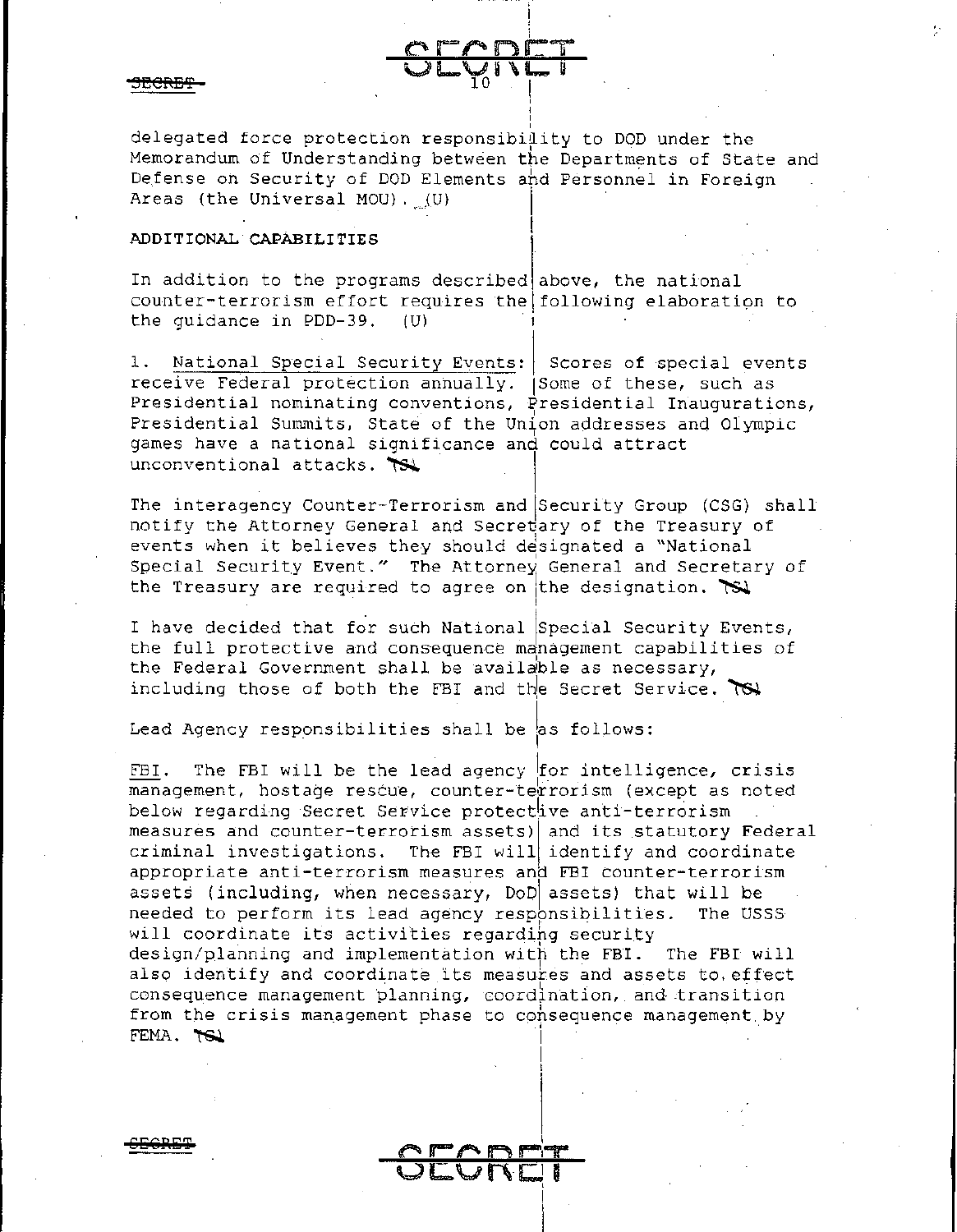delegated force protection responsibility to DOD under the Memorandum of Understanding between the Departments of State and Defense on Security of DOD Elements and Personnel in Foreign Areas (the Universal MOU).  $(U)$ 

## ADDITIONAL CAPABILITIES

In addition to the programs described above, the national counter-terrorism effort requires the following elaboration to the quidance in PDD-39. (U)

National Special Security Events: Scores of special events 1. receive Federal protection annually. (Some of these, such as Presidential nominating conventions, Presidential Inaugurations, Presidential Summits, State of the Union addresses and Olympic games have a national significance and could attract unconventional attacks.

The interagency Counter-Terrorism and Security Group (CSG) shall notify the Attorney General and Secretary of the Treasury of events when it believes they should designated a "National Special Security Event." The Attorney General and Secretary of the Treasury are required to agree on the designation.  $\mathbb{R}$ 

I have decided that for such National Special Security Events, the full protective and consequence management capabilities of the Federal Government shall be available as necessary, including those of both the FBI and the Secret Service.  $TS\$ 

Lead Agency responsibilities shall be as follows:

The FBI will be the lead agency for intelligence, crisis FBI. management, hostage rescue, counter-terrorism (except as noted below regarding Secret Service protective anti-terrorism measures and counter-terrorism assets) and its statutory Federal criminal investigations. The FBI will identify and coordinate appropriate anti-terrorism measures and FBI counter-terrorism assets (including, when necessary, DoD assets) that will be needed to perform its lead agency responsibilities. The USSS will coordinate its activities regarding security design/planning and implementation with the FBI. The FBI will also identify and coordinate its measures and assets to effect consequence management planning, coordination, and transition from the crisis management phase to consequence management by FEMA. TO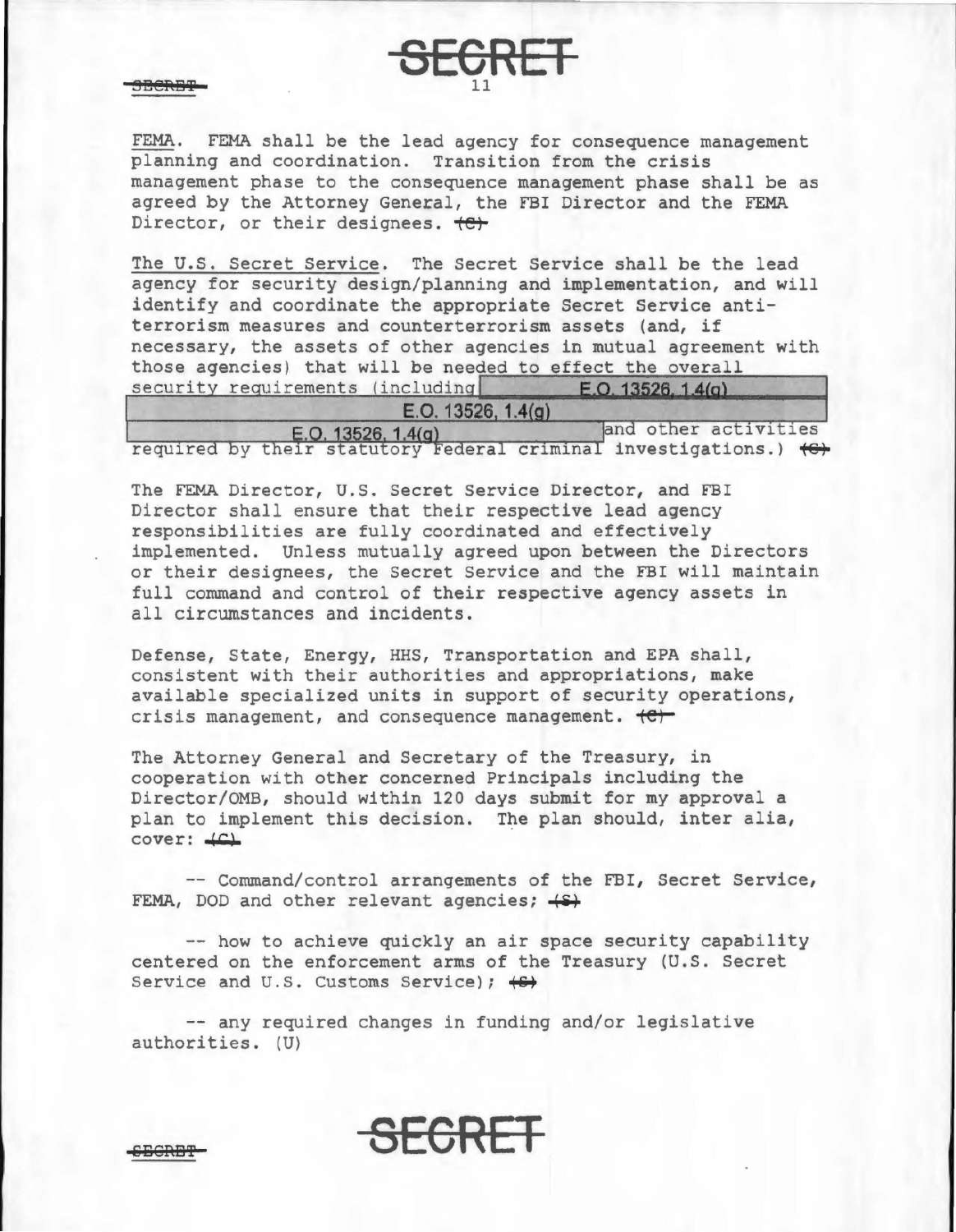3Berbt

FEMA. FEMA shall be the lead agency for consequence management planning and coordination. Transition from the crisis management phase to the consequence management phase shall be as agreed by the Attorney General, the FBI Director and the FEMA Director, or their designees.  $\leftrightarrow$ 

**SE6RET** 

The U.S. Secret Service. The Secret Service shall be the lead agency for security design/planning and implementation, and will identify and coordinate the appropriate Secret Service antiterrorism measures and counterterrorism assets (and, if necessary, the assets of other agencies in mutual agreement with those agencies) that will be needed to effect the overall<br>security requirements (including  $\begin{bmatrix} 6 & 0.13526 & 1.4(a) \end{bmatrix}$ security requirements (including

| E.O. 13526, $1.4(g)$ |                      |
|----------------------|----------------------|
| E. O. 13526. 1.4(q)  | and other activities |

required by their statutory Federal criminal investigations.)  $\leftrightarrow$ 

The FEMA Director, U.S. Secret Service Director, and FBI Director shall ensure that their respective lead agency responsibilities are fully coordinated and effectively implemented. Unless mutually agreed upon between the Directors or their designees, the Secret Service and the FBI will maintain full command and control of their respective agency assets in all circumstances and incidents.

Defense, State, Energy, HHS, Transportation and EPA shall, consistent with their authorities and appropriations, make available specialized units in support of security operations, crisis management, and consequence management.  $\leftarrow$ 

The Attorney General and Secretary of the Treasury, in cooperation with other concerned Principals including the Director/OMB, should within 120 days submit for my approval a plan to implement this decision. The plan should, inter alia,  $cover:  $LC1$$ 

-- Command/control arrangements of the FBI, Secret Service, FEMA, DOD and other relevant agencies;  $\leftarrow$ 

-- how to achieve quickly an air space security capability centered on the enforcement arms of the Treasury (U.S. Secret Service and U.S. Customs Service);  $\leftrightarrow$ 

-- any required changes in funding and/or legislative authorities. (U)

15El€P\13'f **SE6REI**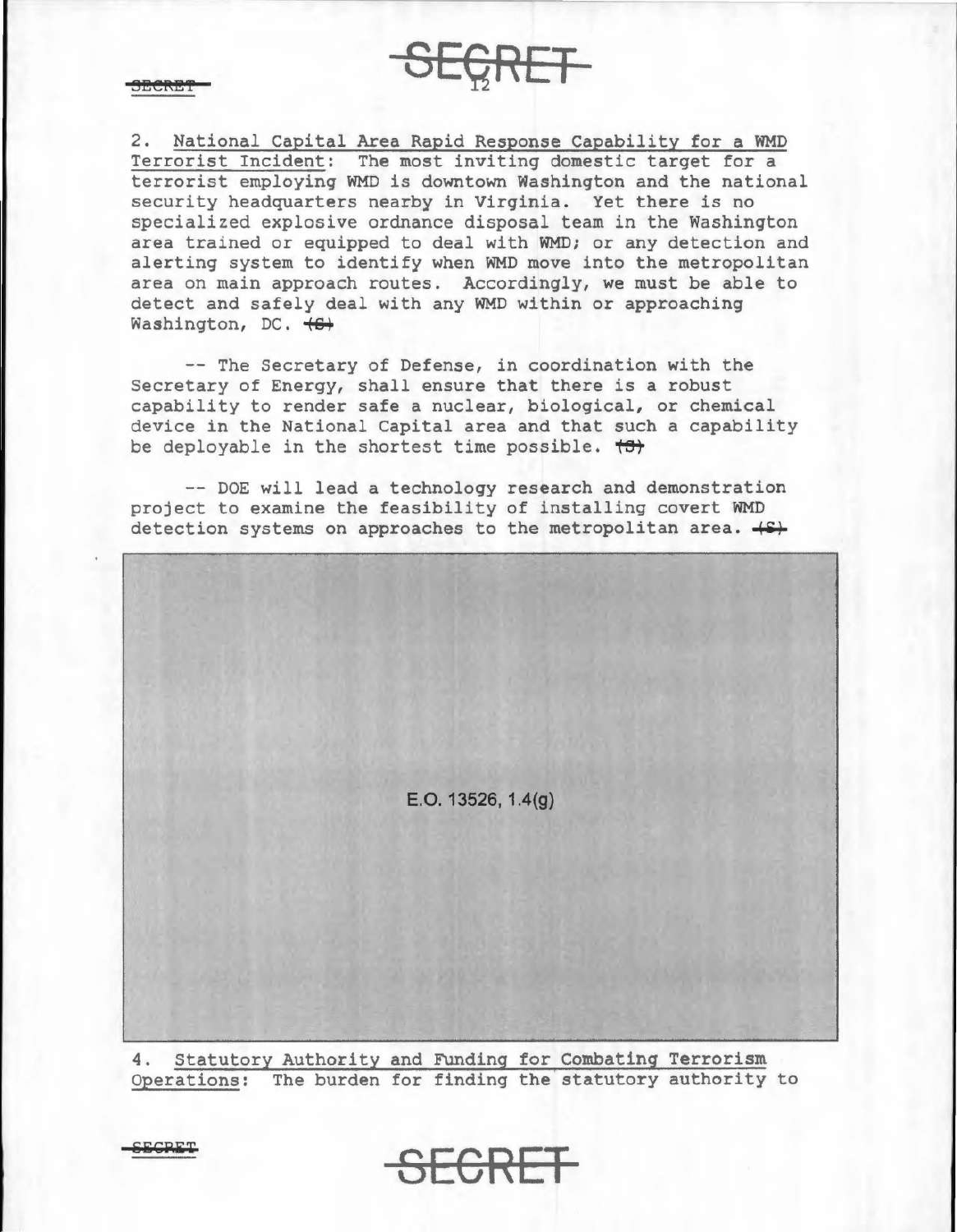2. National Capital Area Rapid Response Capability for a WMD Terrorist Incident: The most inviting domestic target for a terrorist employing WMD is downtown Washington and the national security headquarters nearby in Virginia. Yet there is no specialized explosive ordnance disposal team in the Washington area trained or equipped to deal with WMD; or any detection and alerting system to identify when WMD move into the metropolitan area on main approach routes. Accordingly, we must be able to detect and safely deal with any WMD within or approaching Washington, DC.  $\leftrightarrow$ 

**SECRET** 

-- The Secretary of Defense, in coordination with the Secretary of Energy, shall ensure that there is a robust capability to render safe a nuclear, biological, or chemical device in the National Capital area and that such a capability be deployable in the shortest time possible.  $\overleftrightarrow{c}$ 

-- DOE will lead a technology research and demonstration project to examine the feasibility of installing covert WMD detection systems on approaches to the metropolitan area.  $\leftrightarrow$ 

E.O. 13526, 1.4(g)

4. Statutory Authority and FUnding for Combating Terrorism Operations: The burden for finding the statutory authority to

**SECRET**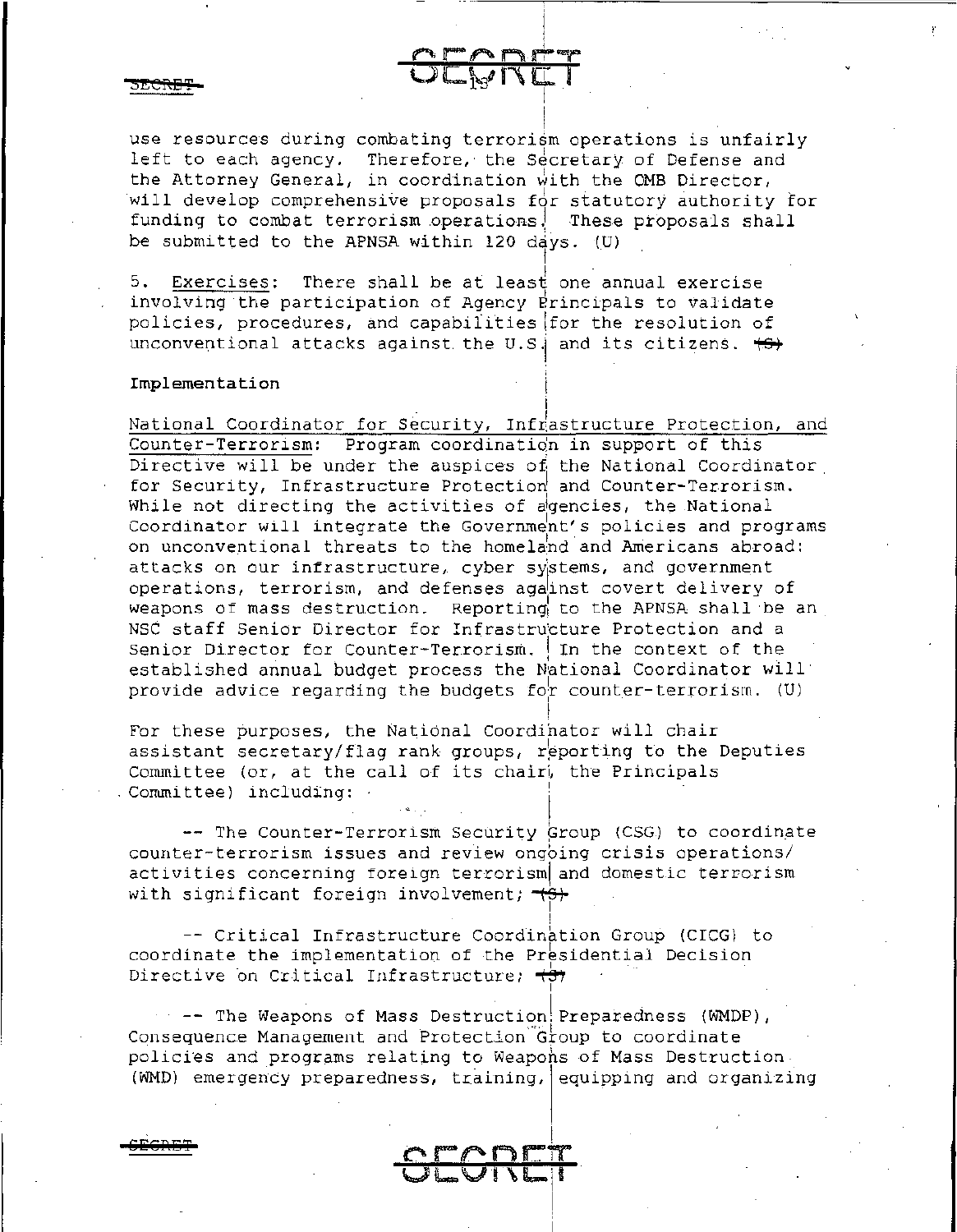use resources during combating terrorism operations is unfairly left to each agency. Therefore, the Secretary of Defense and the Attorney General, in coordination with the OMB Director, will develop comprehensive proposals for statutory authority for funding to combat terrorism operations. These proposals shall be submitted to the APNSA within 120 days. (U)  $\overline{5}$ . Exercises: There shall be at least one and

 $CCEW$ 

Exercises: There shall be at least one annual exercise involving the participation of Agency Erincipals to validate policies, procedures, and capabilities \for the resolution of unconventional attacks against the U.S. and its citizens.  $\leftrightarrow$ 

## **Implementation** I

**eEGl?tl&T** 

National Coordinator for Security, Infrastructure Protection, and Counter-Terrorism: Program coordination in support of this Directive will be under the auspices of the National Coordinator. for Security, Infrastructure Protection and Counter-Terrorism. While not directing the activities of agencies, the National Coordinator will integrate the Government's policies and programs on unconventional threats to the homeland and Americans abroad: attacks on our infrastructure, cyber systems, and government operations, terrorism, and defenses against covert delivery of weapons of mass destruction. Reporting to the APNSA shall be an NSC staff Senior Director for Infrastructure Protection and a Senior Director for Counter-Terrorism. In the context of the established annual budget process the National Coordinator will provide advice regarding the budgets for counter-terrorism. (U)

I

! For these purposes, the National Coordinator will chair assistant secretary/flag rank groups, reporting to the Deputies Committee (or, at the call of its chair), the Principals Committee) including:

-- The Counter-Terrorism Security Group (CSG) to coordinate counter-terrorism issues and review ongbing crisis operations/ activities concerning foreign terrorism and domestic terrorism with significant foreign involvement;  $\overline{+6+}$ I

-- Critical Infrastructure Coordination Group (CICG) to coordinate the implementation of the Presidential Decision Directive on Critical Infrastructure;  $\leftrightarrow$ I

 $-$  -- The Weapons of Mass Destruction! Preparedness (WMDP), Consequence Management and Protection Group to coordinate policies and programs relating to Weapohs of Mass Destruction.  $(WMD)$  emergency preparedness, training, equipping and organizing